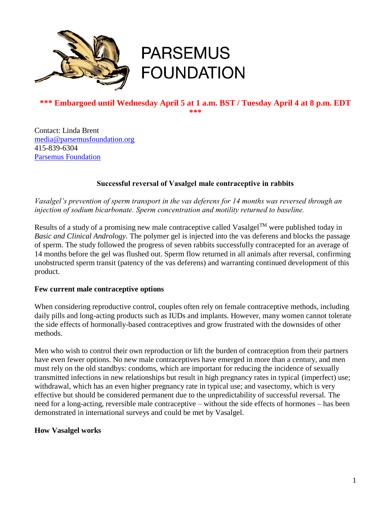

# **PARSEMUS FOUNDATION**

#### **\*\*\* Embargoed until Wednesday April 5 at 1 a.m. BST / Tuesday April 4 at 8 p.m. EDT \*\*\***

Contact: Linda Brent [media@parsemusfoundation.org](mailto:media@parsemusfoundation.org) 415-839-6304 [Parsemus Foundation](http://www.parsemusfoundation.org/)

## **Successful reversal of Vasalgel male contraceptive in rabbits**

*Vasalgel's prevention of sperm transport in the vas deferens for 14 months was reversed through an injection of sodium bicarbonate. Sperm concentration and motility returned to baseline.*

Results of a study of a promising new male contraceptive called Vasalgel<sup>TM</sup> were published today in *Basic and Clinical Andrology.* The polymer gel is injected into the vas deferens and blocks the passage of sperm. The study followed the progress of seven rabbits successfully contracepted for an average of 14 months before the gel was flushed out. Sperm flow returned in all animals after reversal, confirming unobstructed sperm transit (patency of the vas deferens) and warranting continued development of this product.

## **Few current male contraceptive options**

When considering reproductive control, couples often rely on female contraceptive methods, including daily pills and long-acting products such as IUDs and implants. However, many women cannot tolerate the side effects of hormonally-based contraceptives and grow frustrated with the downsides of other methods.

Men who wish to control their own reproduction or lift the burden of contraception from their partners have even fewer options. No new male contraceptives have emerged in more than a century, and men must rely on the old standbys: condoms, which are important for reducing the incidence of sexually transmitted infections in new relationships but result in high pregnancy rates in typical (imperfect) use; withdrawal, which has an even higher pregnancy rate in typical use; and vasectomy, which is very effective but should be considered permanent due to the unpredictability of successful reversal. The need for a long-acting, reversible male contraceptive – without the side effects of hormones – has been demonstrated in international surveys and could be met by Vasalgel.

## **How Vasalgel works**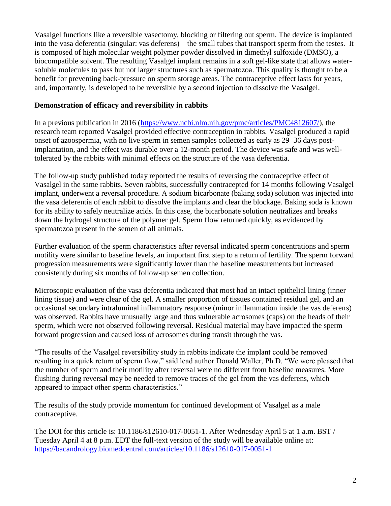Vasalgel functions like a reversible vasectomy, blocking or filtering out sperm. The device is implanted into the vasa deferentia (singular: vas deferens) – the small tubes that transport sperm from the testes. It is composed of high molecular weight polymer powder dissolved in dimethyl sulfoxide (DMSO), a biocompatible solvent. The resulting Vasalgel implant remains in a soft gel-like state that allows watersoluble molecules to pass but not larger structures such as spermatozoa. This quality is thought to be a benefit for preventing back-pressure on sperm storage areas. The contraceptive effect lasts for years, and, importantly, is developed to be reversible by a second injection to dissolve the Vasalgel.

## **Demonstration of efficacy and reversibility in rabbits**

In a previous publication in 2016 [\(https://www.ncbi.nlm.nih.gov/pmc/articles/PMC4812607/\)](https://www.ncbi.nlm.nih.gov/pmc/articles/PMC4812607/), the research team reported Vasalgel provided effective contraception in rabbits. Vasalgel produced a rapid onset of azoospermia, with no live sperm in semen samples collected as early as 29–36 days postimplantation, and the effect was durable over a 12-month period. The device was safe and was welltolerated by the rabbits with minimal effects on the structure of the vasa deferentia.

The follow-up study published today reported the results of reversing the contraceptive effect of Vasalgel in the same rabbits. Seven rabbits, successfully contracepted for 14 months following Vasalgel implant, underwent a reversal procedure. A sodium bicarbonate (baking soda) solution was injected into the vasa deferentia of each rabbit to dissolve the implants and clear the blockage. Baking soda is known for its ability to safely neutralize acids. In this case, the bicarbonate solution neutralizes and breaks down the hydrogel structure of the polymer gel. Sperm flow returned quickly, as evidenced by spermatozoa present in the semen of all animals.

Further evaluation of the sperm characteristics after reversal indicated sperm concentrations and sperm motility were similar to baseline levels, an important first step to a return of fertility. The sperm forward progression measurements were significantly lower than the baseline measurements but increased consistently during six months of follow-up semen collection.

Microscopic evaluation of the vasa deferentia indicated that most had an intact epithelial lining (inner lining tissue) and were clear of the gel. A smaller proportion of tissues contained residual gel, and an occasional secondary intraluminal inflammatory response (minor inflammation inside the vas deferens) was observed. Rabbits have unusually large and thus vulnerable acrosomes (caps) on the heads of their sperm, which were not observed following reversal. Residual material may have impacted the sperm forward progression and caused loss of acrosomes during transit through the vas.

"The results of the Vasalgel reversibility study in rabbits indicate the implant could be removed resulting in a quick return of sperm flow," said lead author Donald Waller, Ph.D. "We were pleased that the number of sperm and their motility after reversal were no different from baseline measures. More flushing during reversal may be needed to remove traces of the gel from the vas deferens, which appeared to impact other sperm characteristics."

The results of the study provide momentum for continued development of Vasalgel as a male contraceptive.

The DOI for this article is: 10.1186/s12610-017-0051-1. After Wednesday April 5 at 1 a.m. BST / Tuesday April 4 at 8 p.m. EDT the full-text version of the study will be available online at: <https://bacandrology.biomedcentral.com/articles/10.1186/s12610-017-0051-1>